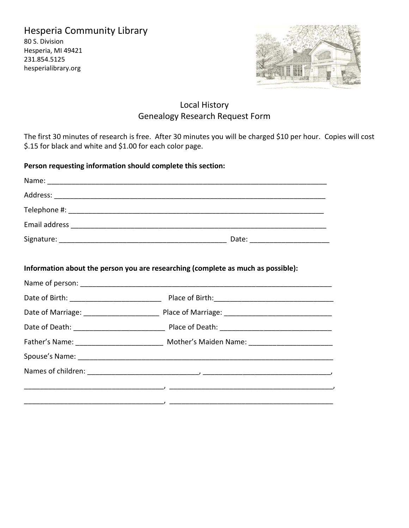## Hesperia Community Library

80 S. Division Hesperia, MI 49421 231.854.5125 hesperialibrary.org



## Local History Genealogy Research Request Form

The first 30 minutes of research is free. After 30 minutes you will be charged \$10 per hour. Copies will cost \$.15 for black and white and \$1.00 for each color page.

**Person requesting information should complete this section:**

| Information about the person you are researching (complete as much as possible):                     |  |
|------------------------------------------------------------------------------------------------------|--|
|                                                                                                      |  |
|                                                                                                      |  |
|                                                                                                      |  |
|                                                                                                      |  |
| Father's Name: ________________________________ Mother's Maiden Name: ______________________________ |  |
|                                                                                                      |  |
|                                                                                                      |  |
|                                                                                                      |  |
|                                                                                                      |  |